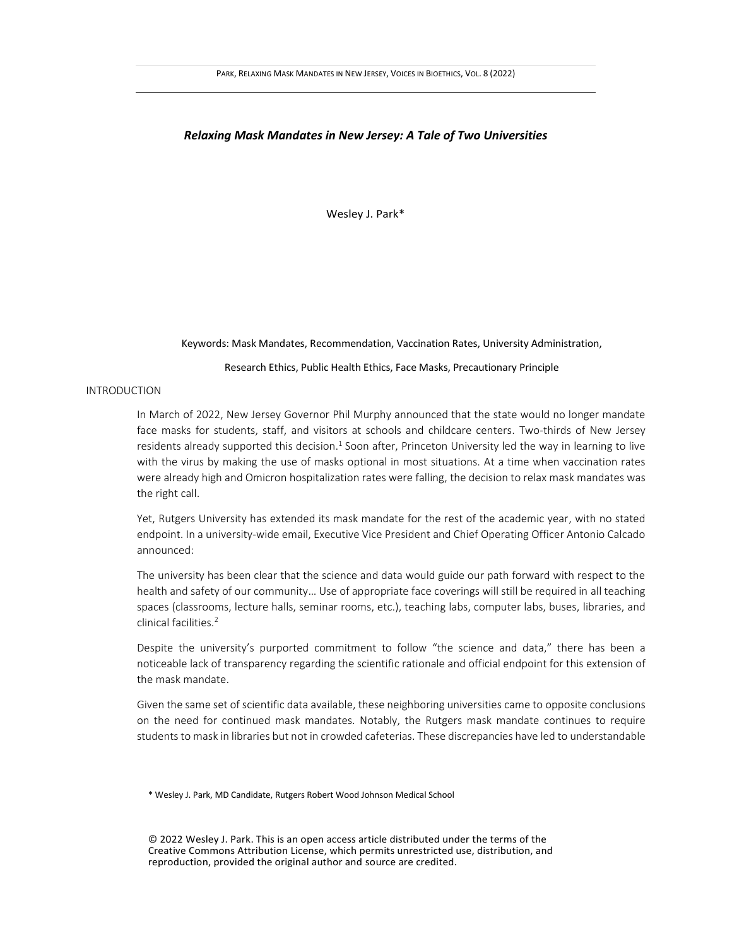### *Relaxing Mask Mandates in New Jersey: A Tale of Two Universities*

Wesley J. Park\*

#### Keywords: Mask Mandates, Recommendation, Vaccination Rates, University Administration,

### Research Ethics, Public Health Ethics, Face Masks, Precautionary Principle

# INTRODUCTION

In March of 2022, New Jersey Governor Phil Murphy announced that the state would no longer mandate face masks for students, staff, and visitors at schools and childcare centers. Two-thirds of New Jersey residents already supported this decision.<sup>1</sup> Soon after, Princeton University led the way in learning to live with the virus by making the use of masks optional in most situations. At a time when vaccination rates were already high and Omicron hospitalization rates were falling, the decision to relax mask mandates was the right call.

Yet, Rutgers University has extended its mask mandate for the rest of the academic year, with no stated endpoint. In a university-wide email, Executive Vice President and Chief Operating Officer Antonio Calcado announced:

The university has been clear that the science and data would guide our path forward with respect to the health and safety of our community… Use of appropriate face coverings will still be required in all teaching spaces (classrooms, lecture halls, seminar rooms, etc.), teaching labs, computer labs, buses, libraries, and clinical facilities.<sup>2</sup>

Despite the university's purported commitment to follow "the science and data," there has been a noticeable lack of transparency regarding the scientific rationale and official endpoint for this extension of the mask mandate.

Given the same set of scientific data available, these neighboring universities came to opposite conclusions on the need for continued mask mandates. Notably, the Rutgers mask mandate continues to require students to mask in libraries but not in crowded cafeterias. These discrepancies have led to understandable

\* Wesley J. Park, MD Candidate, Rutgers Robert Wood Johnson Medical School

© 2022 Wesley J. Park. This is an open access article distributed under the terms of the Creative Commons Attribution License, which permits unrestricted use, distribution, and reproduction, provided the original author and source are credited.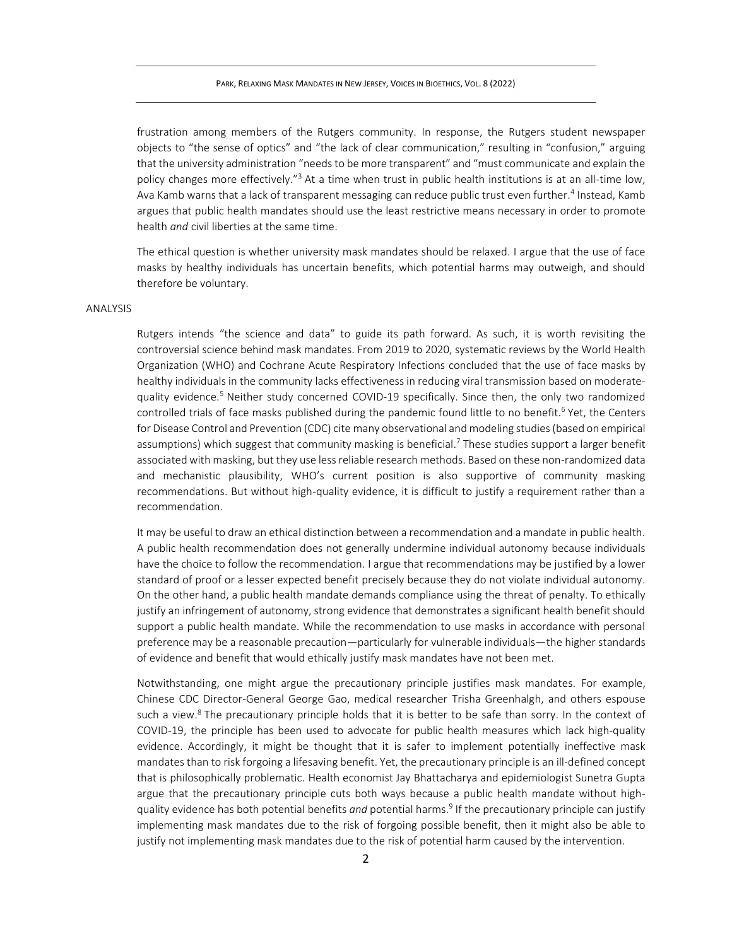frustration among members of the Rutgers community. In response, the Rutgers student newspaper objects to "the sense of optics" and "the lack of clear communication," resulting in "confusion," arguing that the university administration "needs to be more transparent" and "must communicate and explain the policy changes more effectively."<sup>3</sup> At a time when trust in public health institutions is at an all-time low, Ava Kamb warns that a lack of transparent messaging can reduce public trust even further.<sup>4</sup> Instead, Kamb argues that public health mandates should use the least restrictive means necessary in order to promote health *and* civil liberties at the same time.

The ethical question is whether university mask mandates should be relaxed. I argue that the use of face masks by healthy individuals has uncertain benefits, which potential harms may outweigh, and should therefore be voluntary.

# ANALYSIS

Rutgers intends "the science and data" to guide its path forward. As such, it is worth revisiting the controversial science behind mask mandates. From 2019 to 2020, systematic reviews by the World Health Organization (WHO) and Cochrane Acute Respiratory Infections concluded that the use of face masks by healthy individuals in the community lacks effectiveness in reducing viral transmission based on moderatequality evidence. <sup>5</sup> Neither study concerned COVID-19 specifically. Since then, the only two randomized controlled trials of face masks published during the pandemic found little to no benefit.<sup>6</sup> Yet, the Centers for Disease Control and Prevention (CDC) cite many observational and modeling studies (based on empirical assumptions) which suggest that community masking is beneficial.<sup>7</sup> These studies support a larger benefit associated with masking, but they use less reliable research methods. Based on these non-randomized data and mechanistic plausibility, WHO's current position is also supportive of community masking recommendations. But without high-quality evidence, it is difficult to justify a requirement rather than a recommendation.

It may be useful to draw an ethical distinction between a recommendation and a mandate in public health. A public health recommendation does not generally undermine individual autonomy because individuals have the choice to follow the recommendation. I argue that recommendations may be justified by a lower standard of proof or a lesser expected benefit precisely because they do not violate individual autonomy. On the other hand, a public health mandate demands compliance using the threat of penalty. To ethically justify an infringement of autonomy, strong evidence that demonstrates a significant health benefit should support a public health mandate. While the recommendation to use masks in accordance with personal preference may be a reasonable precaution—particularly for vulnerable individuals—the higher standards of evidence and benefit that would ethically justify mask mandates have not been met.

Notwithstanding, one might argue the precautionary principle justifies mask mandates. For example, Chinese CDC Director-General George Gao, medical researcher Trisha Greenhalgh, and others espouse such a view.<sup>8</sup> The precautionary principle holds that it is better to be safe than sorry. In the context of COVID-19, the principle has been used to advocate for public health measures which lack high-quality evidence. Accordingly, it might be thought that it is safer to implement potentially ineffective mask mandates than to risk forgoing a lifesaving benefit. Yet, the precautionary principle is an ill-defined concept that is philosophically problematic. Health economist Jay Bhattacharya and epidemiologist Sunetra Gupta argue that the precautionary principle cuts both ways because a public health mandate without highquality evidence has both potential benefits *and* potential harms. 9 If the precautionary principle can justify implementing mask mandates due to the risk of forgoing possible benefit, then it might also be able to justify not implementing mask mandates due to the risk of potential harm caused by the intervention.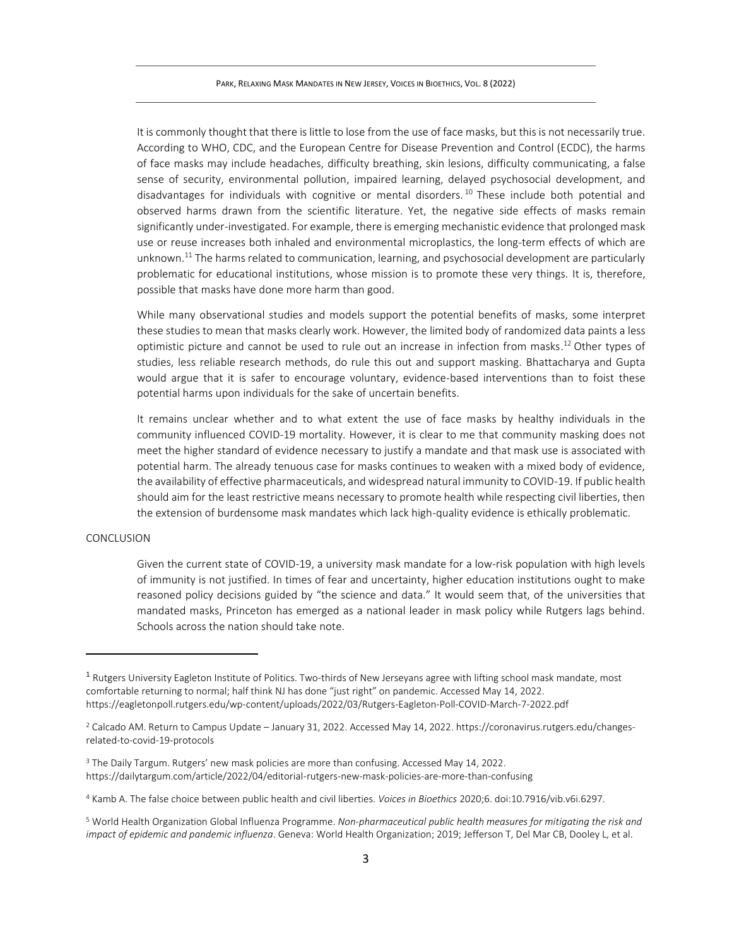PARK, RELAXING MASK MANDATES IN NEW JERSEY, VOICES IN BIOETHICS, VOL. 8 (2022)

It is commonly thought that there is little to lose from the use of face masks, but this is not necessarily true. According to WHO, CDC, and the European Centre for Disease Prevention and Control (ECDC), the harms of face masks may include headaches, difficulty breathing, skin lesions, difficulty communicating, a false sense of security, environmental pollution, impaired learning, delayed psychosocial development, and disadvantages for individuals with cognitive or mental disorders.<sup>10</sup> These include both potential and observed harms drawn from the scientific literature. Yet, the negative side effects of masks remain significantly under-investigated. For example, there is emerging mechanistic evidence that prolonged mask use or reuse increases both inhaled and environmental microplastics, the long-term effects of which are unknown. <sup>11</sup> The harms related to communication, learning, and psychosocial development are particularly problematic for educational institutions, whose mission is to promote these very things. It is, therefore, possible that masks have done more harm than good.

While many observational studies and models support the potential benefits of masks, some interpret these studies to mean that masks clearly work. However, the limited body of randomized data paints a less optimistic picture and cannot be used to rule out an increase in infection from masks. <sup>12</sup> Other types of studies, less reliable research methods, do rule this out and support masking. Bhattacharya and Gupta would argue that it is safer to encourage voluntary, evidence-based interventions than to foist these potential harms upon individuals for the sake of uncertain benefits.

It remains unclear whether and to what extent the use of face masks by healthy individuals in the community influenced COVID-19 mortality. However, it is clear to me that community masking does not meet the higher standard of evidence necessary to justify a mandate and that mask use is associated with potential harm. The already tenuous case for masks continues to weaken with a mixed body of evidence, the availability of effective pharmaceuticals, and widespread natural immunity to COVID-19. If public health should aim for the least restrictive means necessary to promote health while respecting civil liberties, then the extension of burdensome mask mandates which lack high-quality evidence is ethically problematic.

# CONCLUSION

Given the current state of COVID-19, a university mask mandate for a low-risk population with high levels of immunity is not justified. In times of fear and uncertainty, higher education institutions ought to make reasoned policy decisions guided by "the science and data." It would seem that, of the universities that mandated masks, Princeton has emerged as a national leader in mask policy while Rutgers lags behind. Schools across the nation should take note.

<sup>&</sup>lt;sup>1</sup> Rutgers University Eagleton Institute of Politics. Two-thirds of New Jerseyans agree with lifting school mask mandate, most comfortable returning to normal; half think NJ has done "just right" on pandemic. Accessed May 14, 2022. https://eagletonpoll.rutgers.edu/wp-content/uploads/2022/03/Rutgers-Eagleton-Poll-COVID-March-7-2022.pdf

<sup>2</sup> Calcado AM. Return to Campus Update – January 31, 2022. Accessed May 14, 2022. https://coronavirus.rutgers.edu/changesrelated-to-covid-19-protocols

<sup>&</sup>lt;sup>3</sup> The Daily Targum. Rutgers' new mask policies are more than confusing. Accessed May 14, 2022. https://dailytargum.com/article/2022/04/editorial-rutgers-new-mask-policies-are-more-than-confusing

<sup>4</sup> Kamb A. The false choice between public health and civil liberties. *Voices in Bioethics* 2020;6. doi:10.7916/vib.v6i.6297.

<sup>5</sup> World Health Organization Global Influenza Programme. *Non-pharmaceutical public health measures for mitigating the risk and impact of epidemic and pandemic influenza*. Geneva: World Health Organization; 2019; Jefferson T, Del Mar CB, Dooley L, et al.